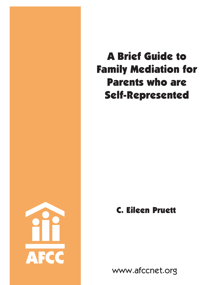

# A Brief Guide to Family Mediation for Parents who are Self-Represented

## C. Eileen Pruett

www.afccnet.org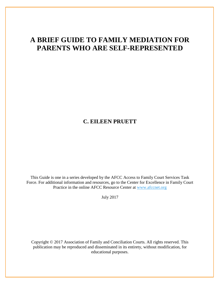### **A BRIEF GUIDE TO FAMILY MEDIATION FOR PARENTS WHO ARE SELF-REPRESENTED**

#### **C. EILEEN PRUETT**

This Guide is one in a series developed by the AFCC Access to Family Court Services Task Force. For additional information and resources, go to the Center for Excellence in Family Court Practice in the online AFCC Resource Center at [www.afccnet.org](http://www.afccnet.org/)

July 2017

Copyright © 2017 Association of Family and Conciliation Courts. All rights reserved. This publication may be reproduced and disseminated in its entirety, without modification, for educational purposes.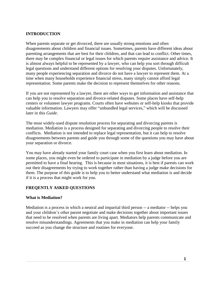#### **INTRODUCTION**

When parents separate or get divorced, there are usually strong emotions and often disagreements about children and financial issues. Sometimes, parents have different ideas about parenting arrangements that are best for their children, and that can lead to conflict. Other times, there may be complex financial or legal issues for which parents require assistance and advice. It is almost always helpful to be represented by a lawyer, who can help you sort through difficult legal questions and understand different options for resolving your disputes. Unfortunately, many people experiencing separation and divorce do not have a lawyer to represent them. At a time when many households experience financial stress, many simply cannot afford legal representation. Some parents make the decision to represent themselves for other reasons.

If you are not represented by a lawyer, there are other ways to get information and assistance that can help you to resolve separation and divorce-related disputes. Some places have self-help centers or volunteer lawyer programs. Courts often have websites or self-help kiosks that provide valuable information. Lawyers may offer "unbundled legal services," which will be discussed later in this *Guide*.

The most widely-used dispute resolution process for separating and divorcing parents is mediation. Mediation is a process designed for separating and divorcing people to resolve their conflicts. Mediation is not intended to replace legal representation, but it can help to resolve disagreements between parents and guide you through some of the questions you may have about your separation or divorce.

You may have already started your family court case when you first learn about mediation. In some places, you might even be ordered to participate in mediation by a judge before you are permitted to have a final hearing. This is because in most situations, it is best if parents can work out their disagreements by trying to work together rather than having a judge make decisions for them. The purpose of this guide is to help you to better understand what mediation is and decide if it is a process that might work for you.

#### **FREQENTLY ASKED QUESTIONS**

#### **What is Mediation?**

Mediation is a process in which a neutral and impartial third person -- a mediator -- helps you and your children's other parent negotiate and make decisions together about important issues that need to be resolved when parents are living apart. Mediators help parents communicate and resolve misunderstandings. Agreements that you make in mediation can help your family succeed as you change the structure and routines for everyone.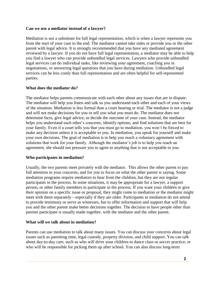#### **Can we use a mediator instead of a lawyer?**

Mediation is not a substitute for full legal representation, which is when a lawyer represents you from the start of your case to the end. The mediator cannot take sides or provide you or the other parent with legal advice. It is strongly recommended that you have any mediated agreement reviewed by a lawyer. If you do not have full legal representation, a mediator may be able to help you find a lawyer who can provide unbundled legal services. Lawyers who provide unbundled legal services can do individual tasks, like reviewing your agreement, coaching you in negotiations, or answering legal questions that you have during mediation. Unbundled legal services can be less costly than full representation and are often helpful for self-represented parties.

#### **What does the mediator do?**

The mediator helps parents communicate with each other about any issues that are in dispute. The mediator will help you listen and talk so you understand each other and each of your views of the situation. Mediation is less formal than a court hearing or trial. The mediator is not a judge and will not make decisions for you or tell you what you must do. The mediator does not determine facts, give legal advice, or decide the outcome of your case. Instead, the mediator helps you understand each other's concerns, identify options, and find solutions that are best for your family. Even if a court tells you that you must go to mediation, you won't be forced to make any decision unless it is acceptable to you. In mediation, you speak for yourself and make your own decisions. The goal of mediation is to help you reach a voluntary agreement with solutions that work for your family. Although the mediator's job is to help you reach an agreement, she should not pressure you to agree to anything that is not acceptable to you.

#### **Who participates in mediation?**

Usually, the two parents meet privately with the mediator. This allows the other parent to pay full attention to your concerns, and for you to focus on what the other parent is saying. Some mediation programs require mediators to hear from the children, but they are not regular participants in the process. In some situations, it may be appropriate for a lawyer, a support person, or other family members to participate in the process. If you want your children to give their opinion on a specific issue or proposal, they might come to mediation or the mediator might meet with them separately—especially if they are older. Participants in mediation do not attend to provide testimony or serve as witnesses, but to offer information and support that will help you and the other parent make better decisions together. The decision to have people other than parents participate is usually made together, with the mediator and the other parent.

#### **What will we talk about in mediation?**

Parents can use mediation to talk about many issues. You can discuss your concerns about legal issues such as parenting time, legal custody, property division, and child support. You can talk about day-to-day care, such as who will drive your children to dance class or soccer practice, or who will be responsible for picking them up after school. You can also discuss long-term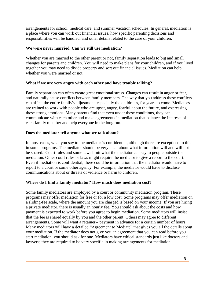arrangements for school, medical care, and summer vacation schedules. In general, mediation is a place where you can work out financial issues, how specific parenting decisions and responsibilities will be handled, and other details related to the care of your children.

#### **We were never married. Can we still use mediation?**

Whether you are married to the other parent or not, family separation leads to big and small changes for parents and children. You will need to make plans for your children, and if you lived together you may need to divide property and sort out financial issues. Mediation can help whether you were married or not.

#### **What if we are very angry with each other and have trouble talking?**

Family separation can often create great emotional stress. Changes can result in anger or fear, and naturally cause conflicts between family members. The way that you address these conflicts can affect the entire family's adjustment, especially the children's, for years to come. Mediators are trained to work with people who are upset, angry, fearful about the future, and expressing these strong emotions. Many parents find that even under these conditions, they can communicate with each other and make agreements in mediation that balance the interests of each family member and help everyone in the long run.

#### **Does the mediator tell anyone what we talk about?**

In most cases, what you say to the mediator is confidential, although there are exceptions to this in some programs. The mediator should be very clear about what information will and will not be shared. Court rules and some laws limit what the mediator can say to people outside the mediation. Other court rules or laws might require the mediator to give a report to the court. Even if mediation is confidential, there could be information that the mediator would have to report to a court or some other agency. For example, the mediator would have to disclose communications about or threats of violence or harm to children.

#### **Where do I find a family mediator? How much does mediation cost?**

Some family mediators are employed by a court or community mediation program. These programs may offer mediation for free or for a low cost. Some programs may offer mediation on a sliding-fee scale, where the amount you are charged is based on your income. If you are hiring a private mediator, there is usually an hourly fee. You should ask about the costs and how payment is expected to work before you agree to begin mediation. Some mediators will insist that the fee is shared equally by you and the other parent. Others may agree to different arrangements. Some will want a retainer-- payment in advance for a certain number of hours. Many mediators will have a detailed "Agreement to Mediate" that gives you all the details about your mediation. If the mediator does not give you an agreement that you can read before you start mediation, you should ask for one. Mediators have ethical standards just like doctors and lawyers; they are required to be very specific in making arrangements for mediation.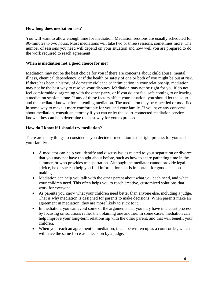#### **How long does mediation last?**

You will want to allow enough time for mediation. Mediation sessions are usually scheduled for 90-minutes to two hours. Most mediations will take two or three sessions, sometimes more. The number of sessions you need will depend on your situation and how well you are prepared to do the work required to reach agreement.

#### **When is mediation not a good choice for me?**

Mediation may not be the best choice for you if there are concerns about child abuse, mental illness, chemical dependency, or if the health or safety of one or both of you might be put at risk. If there has been a history of domestic violence or intimidation in your relationship, mediation may not be the best way to resolve your disputes. Mediation may not be right for you if do not feel comfortable disagreeing with the other party, or if you do not feel safe coming to or leaving a mediation session alone. If any of these factors affect your situation, you should let the court and the mediator know before attending mediation. The mediation may be cancelled or modified in some way to make it more comfortable for you and your family. If you have any concerns about mediation, consult an attorney if you can or let the court-connected mediation service know – they can help determine the best way for you to proceed.

#### **How do I know if I should try mediation?**

There are many things to consider as you decide if mediation is the right process for you and your family:

- A mediator can help you identify and discuss issues related to your separation or divorce that you may not have thought about before, such as how to share parenting time in the summer, or who provides transportation. Although the mediator cannot provide legal advice, he or she can help you find information that is important for good decision making.
- Mediation can help you talk with the other parent about what you each need, and what your children need. This often helps you to reach creative, customized solutions that work for everyone.
- As parents you know what your children need better than anyone else, including a judge. That is why mediation is designed for parents to make decisions. When parents make an agreement in mediation, they are more likely to stick to it.
- In mediation, you can avoid some of the arguments that you may have in a court process by focusing on solutions rather than blaming one another. In some cases, mediation can help improve your long-term relationship with the other parent, and that will benefit your children.
- When you reach an agreement in mediation, it can be written up as a court order, which will have the same force as a decision by a judge.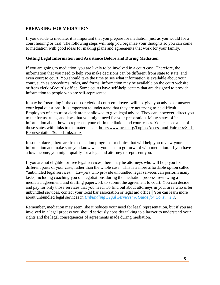#### **PREPARING FOR MEDIATION**

If you decide to mediate, it is important that you prepare for mediation, just as you would for a court hearing or trial. The following steps will help you organize your thoughts so you can come to mediation with good ideas for making plans and agreements that work for your family.

#### **Getting Legal Information and Assistance Before and During Mediation**

If you are going to mediation, you are likely to be involved in a court case. Therefore, the information that you need to help you make decisions can be different from state to state, and even court to court. You should take the time to see what information is available about your court, such as procedures, rules, and forms. Information may be available on the court website, or from clerk of court's office. Some courts have self-help centers that are designed to provide information to people who are self-represented.

It may be frustrating if the court or clerk of court employees will not give you advice or answer your legal questions. It is important to understand that they are not trying to be difficult. Employees of a court or clerk are not allowed to give legal advice. They can, however, direct you to the forms, rules, and laws that you might need for your preparation. Many states offer information about how to represent yourself in mediation and court cases. You can see a list of those states with links to the materials at: [http://www.ncsc.org/Topics/Access-and-Fairness/Self-](http://www.ncsc.org/Topics/Access-and-Fairness/Self-Representation/State-Links.aspx)[Representation/State-Links.aspx](http://www.ncsc.org/Topics/Access-and-Fairness/Self-Representation/State-Links.aspx)

In some places, there are free education programs or clinics that will help you review your information and make sure you know what you need to go forward with mediation. If you have a low income, you might qualify for a legal aid attorney to represent you.

If you are not eligible for free legal services, there may be attorneys who will help you for different parts of your case, rather than the whole case. This is a more affordable option called "unbundled legal services." Lawyers who provide unbundled legal services can perform many tasks, including coaching you on negotiations during the mediation process, reviewing a mediated agreement, and drafting paperwork to submit the agreement to court. You can decide and pay for only those services that you need. To find out about attorneys in your area who offer unbundled services, contact your local bar association or legal aid office. You can learn more about unbundled legal services in *[Unbundling Legal Services: A Guide for Consumers](http://www.afccnet.org/Portals/0/Center%20for%20Excellance/A%20Guide%20for%20Consumers.pdf?ver=2015-10-26-135032-000)*.

Remember, mediation may seem like it reduces your need for legal representation, but if you are involved in a legal process you should seriously consider talking to a lawyer to understand your rights and the legal consequences of agreements made during mediation.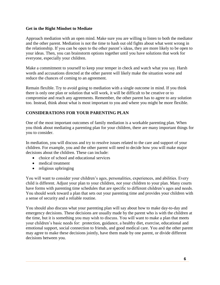#### **Get in the Right Mindset to Mediate**

Approach mediation with an open mind. Make sure you are willing to listen to both the mediator and the other parent. Mediation is not the time to hash out old fights about what went wrong in the relationship. If you can be open to the other parent's ideas, they are more likely to be open to your ideas. Then, you can brainstorm options together until you have solutions that work for everyone, especially your children.

Make a commitment to yourself to keep your temper in check and watch what you say. Harsh words and accusations directed at the other parent will likely make the situation worse and reduce the chances of coming to an agreement.

Remain flexible. Try to avoid going to mediation with a single outcome in mind. If you think there is only one plan or solution that will work, it will be difficult to be creative or to compromise and reach any agreements. Remember, the other parent has to agree to any solution too. Instead, think about what is most important to you and where you might be more flexible.

#### **CONSIDERATIONS FOR YOUR PARENTING PLAN**

One of the most important outcomes of family mediation is a workable parenting plan. When you think about mediating a parenting plan for your children, there are many important things for you to consider.

In mediation, you will discuss and try to resolve issues related to the care and support of your children. For example, you and the other parent will need to decide how you will make major decisions about the children. These can include:

- choice of school and educational services
- medical treatment
- religious upbringing

You will want to consider your children's ages, personalities, experiences, and abilities. Every child is different. Adjust your plan to your children, *not* your children to your plan. Many courts have forms with parenting time schedules that are specific to different children's ages and needs. You should work toward a plan that sets out your parenting time and provides your children with a sense of security and a reliable routine.

You should also discuss what your parenting plan will say about how to make day-to-day and emergency decisions. These decisions are usually made by the parent who is with the children at the time, but it is something you may wish to discuss. You will want to make a plan that meets your children's basic needs for: protection, guidance, a healthy diet, exercise, educational and emotional support, social connection to friends, and good medical care. You and the other parent may agree to make these decisions jointly, have them made by one parent, or divide different decisions between you.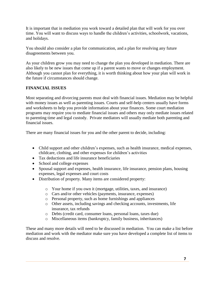It is important that in mediation you work toward a detailed plan that will work for you over time. You will want to discuss ways to handle the children's activities, schoolwork, vacations, and holidays.

You should also consider a plan for communication, and a plan for resolving any future disagreements between you.

As your children grow you may need to change the plan you developed in mediation. There are also likely to be new issues that come up if a parent wants to move or changes employment. Although you cannot plan for everything, it is worth thinking about how your plan will work in the future if circumstances should change.

#### **FINANCIAL ISSUES**

Most separating and divorcing parents must deal with financial issues. Mediation may be helpful with money issues as well as parenting issues. Courts and self-help centers usually have forms and worksheets to help you provide information about your finances. Some court mediation programs may require you to mediate financial issues and others may only mediate issues related to parenting time and legal custody. Private mediators will usually mediate both parenting and financial issues.

There are many financial issues for you and the other parent to decide, including:

- Child support and other children's expenses, such as health insurance, medical expenses, childcare, clothing, and other expenses for children's activities
- Tax deductions and life insurance beneficiaries
- School and college expenses
- Spousal support and expenses, health insurance, life insurance, pension plans, housing expenses, legal expenses and court costs
- Distribution of property. Many items are considered property:
	- o Your home if you own it (mortgage, utilities, taxes, and insurance)
	- o Cars and/or other vehicles (payments, insurance, expenses)
	- o Personal property, such as home furnishings and appliances
	- o Other assets, including savings and checking accounts, investments, life insurance, tax refunds
	- o Debts (credit card, consumer loans, personal loans, taxes due)
	- o Miscellaneous items (bankruptcy, family business, inheritances)

These and many more details will need to be discussed in mediation. You can make a list before mediation and work with the mediator make sure you have developed a complete list of items to discuss and resolve.